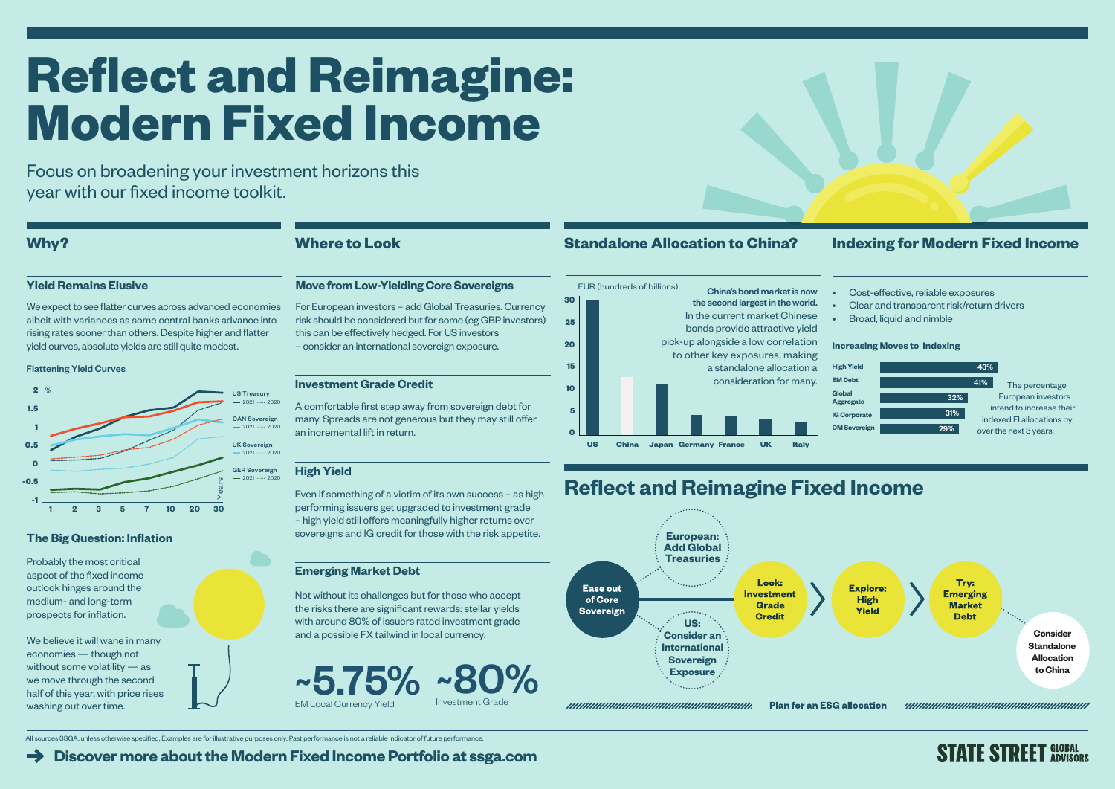Focus on broadening your investment horizons this year with our fixed income toolkit.

**[Discover more about the Modern Fixed Income Portfolio at ssga.com](https://www.ssga.com/ic/insights/modern-fixed-income)**



# **Reflect and Reimagine Fixed Income**

We expect to see flatter curves across advanced economies albeit with variances as some central banks advance into rising rates sooner than others. Despite higher and flatter yield curves, absolute yields are still quite modest.

### **Yield Remains Elusive**

# **Reflect and Reimagine: Modern Fixed Income**

We believe it will wane in many economies — though not without some volatility — as we move through the second half of this year, with price rises washing out over time.

All sources SSGA, unless otherwise specified. Examples are for illustrative purposes only. Past performance is not a reliable indicator of future performance.

## **Why? Where to Look Standalone Allocation to China? Indexing for Modern Fixed Income**

- 
- 
- 

# **STATE STREET GLOBAL**



### **The Big Question: Inflation**

Probably the most critical aspect of the fixed income outlook hinges around the medium- and long-term prospects for inflation.

### **Investment Grade Credit**

A comfortable first step away from sovereign debt for many. Spreads are not generous but they may still offer an incremental lift in return.

### **Move from Low-Yielding Core Sovereigns**



For European investors – add Global Treasuries. Currency risk should be considered but for some (eg GBP investors) this can be effectively hedged. For US investors – consider an international sovereign exposure.

### **High Yield**

Even if something of a victim of its own success – as high performing issuers get upgraded to investment grade – high yield still offers meaningfully higher returns over sovereigns and IG credit for those with the risk appetite.

### **Emerging Market Debt**

Not without its challenges but for those who accept the risks there are significant rewards: stellar yields with around 80% of issuers rated investment grade and a possible FX tailwind in local currency.